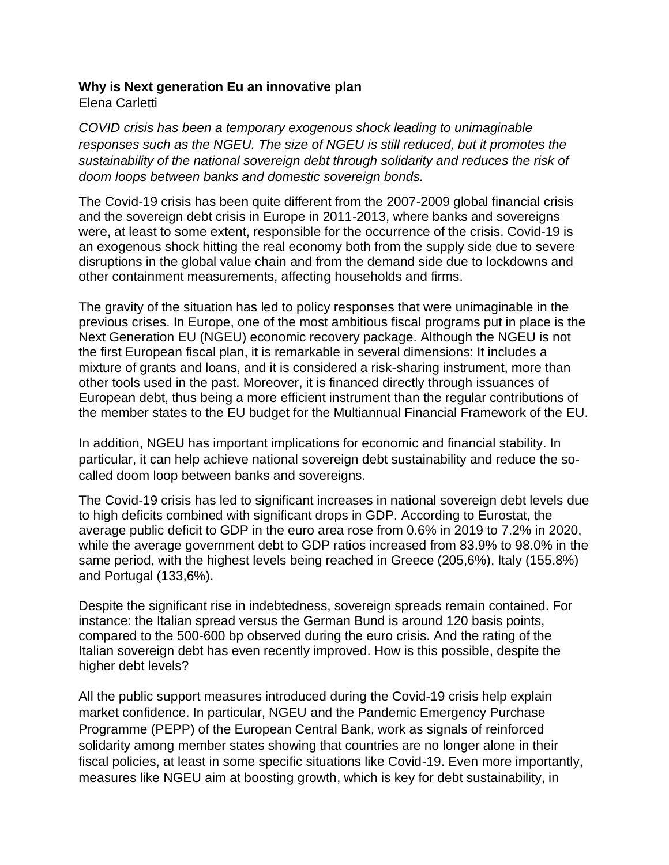## **Why is Next generation Eu an innovative plan**

Elena Carletti

*COVID crisis has been a temporary exogenous shock leading to unimaginable responses such as the NGEU. The size of NGEU is still reduced, but it promotes the sustainability of the national sovereign debt through solidarity and reduces the risk of doom loops between banks and domestic sovereign bonds.* 

The Covid-19 crisis has been quite different from the 2007-2009 global financial crisis and the sovereign debt crisis in Europe in 2011-2013, where banks and sovereigns were, at least to some extent, responsible for the occurrence of the crisis. Covid-19 is an exogenous shock hitting the real economy both from the supply side due to severe disruptions in the global value chain and from the demand side due to lockdowns and other containment measurements, affecting households and firms.

The gravity of the situation has led to policy responses that were unimaginable in the previous crises. In Europe, one of the most ambitious fiscal programs put in place is the Next Generation EU (NGEU) economic recovery package. Although the NGEU is not the first European fiscal plan, it is remarkable in several dimensions: It includes a mixture of grants and loans, and it is considered a risk-sharing instrument, more than other tools used in the past. Moreover, it is financed directly through issuances of European debt, thus being a more efficient instrument than the regular contributions of the member states to the EU budget for the Multiannual Financial Framework of the EU.

In addition, NGEU has important implications for economic and financial stability. In particular, it can help achieve national sovereign debt sustainability and reduce the socalled doom loop between banks and sovereigns.

The Covid-19 crisis has led to significant increases in national sovereign debt levels due to high deficits combined with significant drops in GDP. According to Eurostat, the average public deficit to GDP in the euro area rose from 0.6% in 2019 to 7.2% in 2020, while the average government debt to GDP ratios increased from 83.9% to 98.0% in the same period, with the highest levels being reached in Greece (205,6%), Italy (155.8%) and Portugal (133,6%).

Despite the significant rise in indebtedness, sovereign spreads remain contained. For instance: the Italian spread versus the German Bund is around 120 basis points, compared to the 500-600 bp observed during the euro crisis. And the rating of the Italian sovereign debt has even recently improved. How is this possible, despite the higher debt levels?

All the public support measures introduced during the Covid-19 crisis help explain market confidence. In particular, NGEU and the Pandemic Emergency Purchase Programme (PEPP) of the European Central Bank, work as signals of reinforced solidarity among member states showing that countries are no longer alone in their fiscal policies, at least in some specific situations like Covid-19. Even more importantly, measures like NGEU aim at boosting growth, which is key for debt sustainability, in